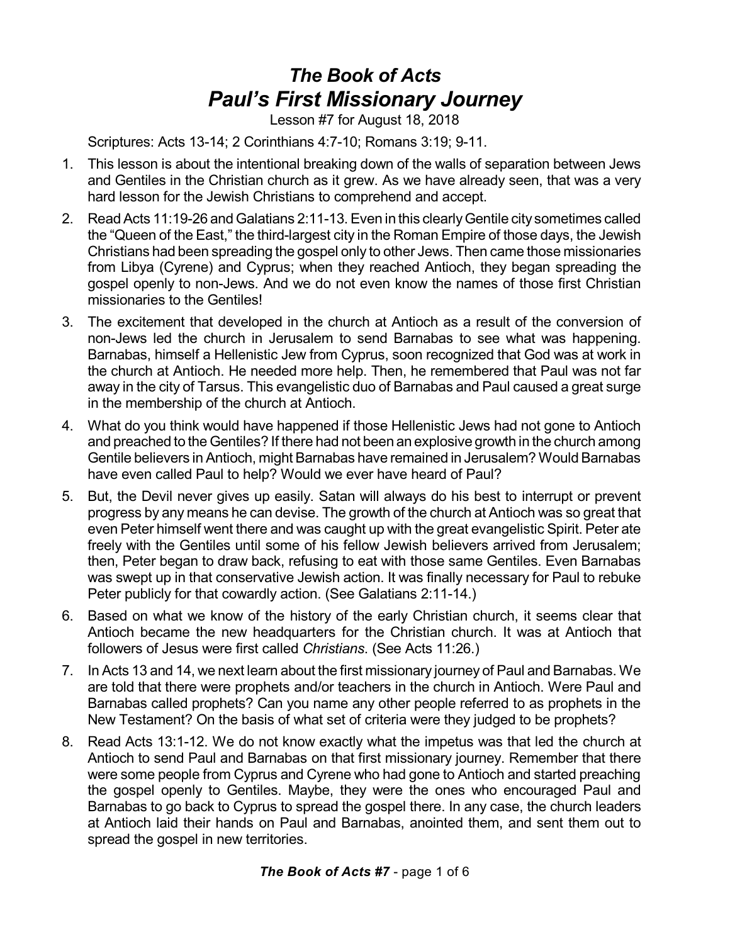## *The Book of Acts Paul's First Missionary Journey*

Lesson #7 for August 18, 2018

Scriptures: Acts 13-14; 2 Corinthians 4:7-10; Romans 3:19; 9-11.

- 1. This lesson is about the intentional breaking down of the walls of separation between Jews and Gentiles in the Christian church as it grew. As we have already seen, that was a very hard lesson for the Jewish Christians to comprehend and accept.
- 2. Read Acts 11:19-26 and Galatians 2:11-13. Even in this clearly Gentile city sometimes called the "Queen of the East," the third-largest city in the Roman Empire of those days, the Jewish Christians had been spreading the gospel only to other Jews. Then came those missionaries from Libya (Cyrene) and Cyprus; when they reached Antioch, they began spreading the gospel openly to non-Jews. And we do not even know the names of those first Christian missionaries to the Gentiles!
- 3. The excitement that developed in the church at Antioch as a result of the conversion of non-Jews led the church in Jerusalem to send Barnabas to see what was happening. Barnabas, himself a Hellenistic Jew from Cyprus, soon recognized that God was at work in the church at Antioch. He needed more help. Then, he remembered that Paul was not far away in the city of Tarsus. This evangelistic duo of Barnabas and Paul caused a great surge in the membership of the church at Antioch.
- 4. What do you think would have happened if those Hellenistic Jews had not gone to Antioch and preached to the Gentiles? If there had not been an explosive growth in the church among Gentile believers inAntioch, might Barnabas have remained in Jerusalem? WouldBarnabas have even called Paul to help? Would we ever have heard of Paul?
- 5. But, the Devil never gives up easily. Satan will always do his best to interrupt or prevent progress by any means he can devise. The growth of the church at Antioch was so great that even Peter himself went there and was caught up with the great evangelistic Spirit. Peter ate freely with the Gentiles until some of his fellow Jewish believers arrived from Jerusalem; then, Peter began to draw back, refusing to eat with those same Gentiles. Even Barnabas was swept up in that conservative Jewish action. It was finally necessary for Paul to rebuke Peter publicly for that cowardly action. (See Galatians 2:11-14.)
- 6. Based on what we know of the history of the early Christian church, it seems clear that Antioch became the new headquarters for the Christian church. It was at Antioch that followers of Jesus were first called *Christians*. (See Acts 11:26.)
- 7. In Acts 13 and 14, we next learn about the first missionary journey of Paul and Barnabas. We are told that there were prophets and/or teachers in the church in Antioch. Were Paul and Barnabas called prophets? Can you name any other people referred to as prophets in the New Testament? On the basis of what set of criteria were they judged to be prophets?
- 8. Read Acts 13:1-12. We do not know exactly what the impetus was that led the church at Antioch to send Paul and Barnabas on that first missionary journey. Remember that there were some people from Cyprus and Cyrene who had gone to Antioch and started preaching the gospel openly to Gentiles. Maybe, they were the ones who encouraged Paul and Barnabas to go back to Cyprus to spread the gospel there. In any case, the church leaders at Antioch laid their hands on Paul and Barnabas, anointed them, and sent them out to spread the gospel in new territories.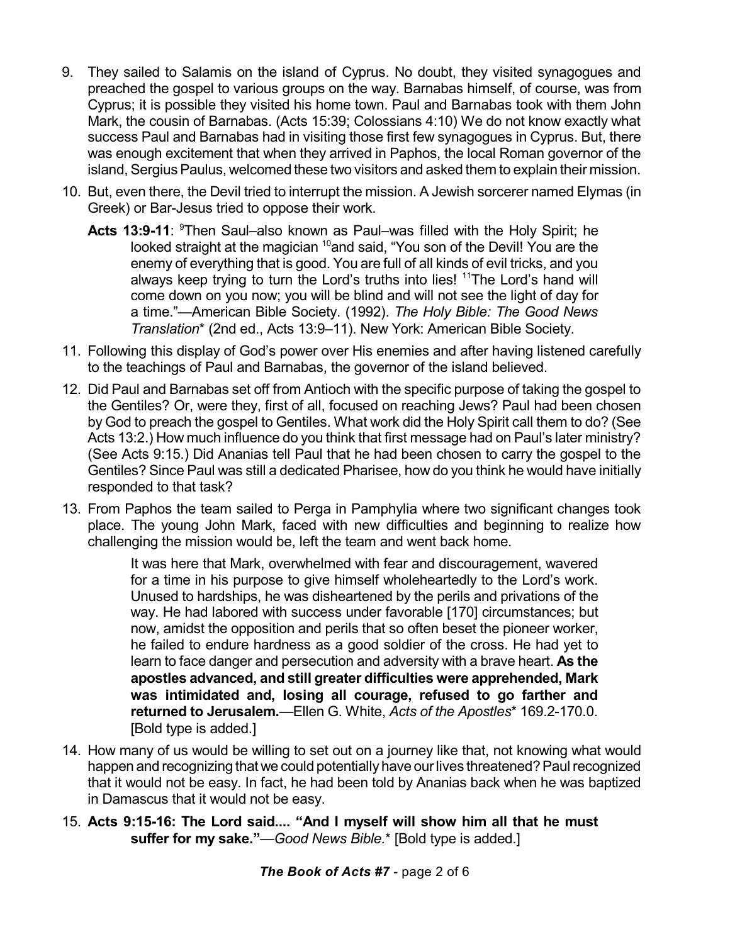- 9. They sailed to Salamis on the island of Cyprus. No doubt, they visited synagogues and preached the gospel to various groups on the way. Barnabas himself, of course, was from Cyprus; it is possible they visited his home town. Paul and Barnabas took with them John Mark, the cousin of Barnabas. (Acts 15:39; Colossians 4:10) We do not know exactly what success Paul and Barnabas had in visiting those first few synagogues in Cyprus. But, there was enough excitement that when they arrived in Paphos, the local Roman governor of the island, Sergius Paulus, welcomed these two visitors and asked them to explain their mission.
- 10. But, even there, the Devil tried to interrupt the mission. A Jewish sorcerer named Elymas (in Greek) or Bar-Jesus tried to oppose their work.
	- **Acts 13:9-11**: <sup>9</sup>Then Saul–also known as Paul–was filled with the Holy Spirit; he looked straight at the magician <sup>10</sup>and said, "You son of the Devil! You are the enemy of everything that is good. You are full of all kinds of evil tricks, and you always keep trying to turn the Lord's truths into lies! <sup>11</sup>The Lord's hand will come down on you now; you will be blind and will not see the light of day for a time."—American Bible Society. (1992). *The Holy Bible: The Good News Translation*\* (2nd ed., Acts 13:9–11). New York: American Bible Society.
- 11. Following this display of God's power over His enemies and after having listened carefully to the teachings of Paul and Barnabas, the governor of the island believed.
- 12. Did Paul and Barnabas set off from Antioch with the specific purpose of taking the gospel to the Gentiles? Or, were they, first of all, focused on reaching Jews? Paul had been chosen by God to preach the gospel to Gentiles. What work did the Holy Spirit call them to do? (See Acts 13:2.) How much influence do you think that first message had on Paul's later ministry? (See Acts 9:15.) Did Ananias tell Paul that he had been chosen to carry the gospel to the Gentiles? Since Paul was still a dedicated Pharisee, how do you think he would have initially responded to that task?
- 13. From Paphos the team sailed to Perga in Pamphylia where two significant changes took place. The young John Mark, faced with new difficulties and beginning to realize how challenging the mission would be, left the team and went back home.

It was here that Mark, overwhelmed with fear and discouragement, wavered for a time in his purpose to give himself wholeheartedly to the Lord's work. Unused to hardships, he was disheartened by the perils and privations of the way. He had labored with success under favorable [170] circumstances; but now, amidst the opposition and perils that so often beset the pioneer worker, he failed to endure hardness as a good soldier of the cross. He had yet to learn to face danger and persecution and adversity with a brave heart. **As the apostles advanced, and still greater difficulties were apprehended, Mark was intimidated and, losing all courage, refused to go farther and returned to Jerusalem.**—Ellen G. White, *Acts of the Apostles*\* 169.2-170.0. [Bold type is added.]

- 14. How many of us would be willing to set out on a journey like that, not knowing what would happen and recognizing that we could potentially have our lives threatened? Paul recognized that it would not be easy. In fact, he had been told by Ananias back when he was baptized in Damascus that it would not be easy.
- 15. **Acts 9:15-16: The Lord said.... "And I myself will show him all that he must suffer for my sake."**—*Good News Bible.*\* [Bold type is added.]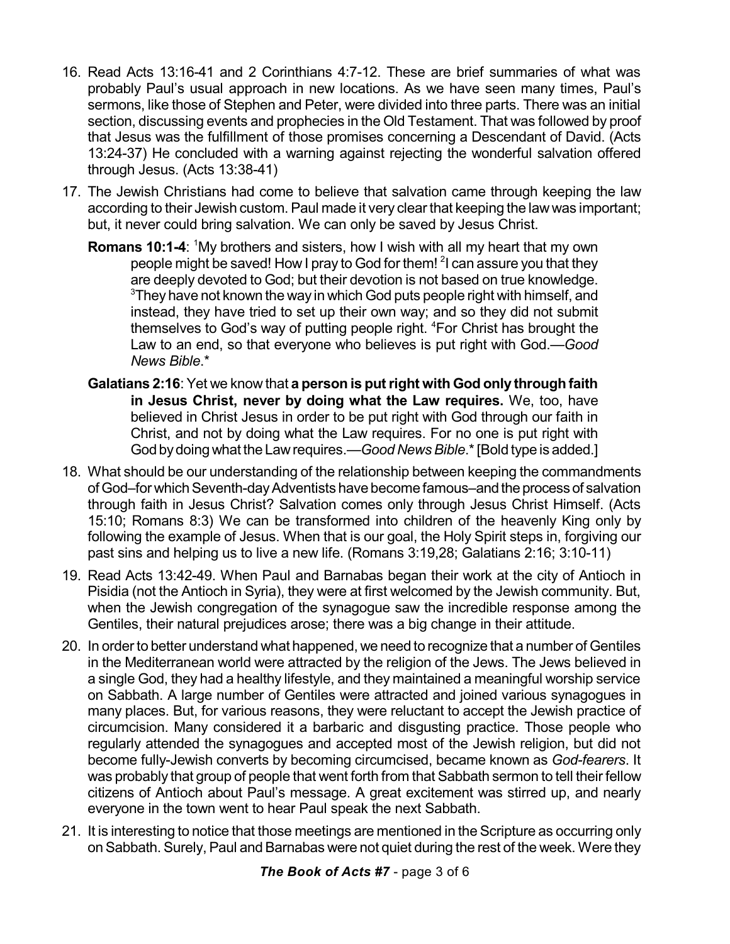- 16. Read Acts 13:16-41 and 2 Corinthians 4:7-12. These are brief summaries of what was probably Paul's usual approach in new locations. As we have seen many times, Paul's sermons, like those of Stephen and Peter, were divided into three parts. There was an initial section, discussing events and prophecies in the Old Testament. That was followed by proof that Jesus was the fulfillment of those promises concerning a Descendant of David. (Acts 13:24-37) He concluded with a warning against rejecting the wonderful salvation offered through Jesus. (Acts 13:38-41)
- 17. The Jewish Christians had come to believe that salvation came through keeping the law according to their Jewish custom. Paul made it very clear that keeping the law was important; but, it never could bring salvation. We can only be saved by Jesus Christ.
	- **Romans 10:1-4:** <sup>1</sup>My brothers and sisters, how I wish with all my heart that my own people might be saved! How I pray to God for them! <sup>2</sup>I can assure you that they are deeply devoted to God; but their devotion is not based on true knowledge.  $3$ They have not known the way in which God puts people right with himself, and instead, they have tried to set up their own way; and so they did not submit themselves to God's way of putting people right. <sup>4</sup>For Christ has brought the Law to an end, so that everyone who believes is put right with God.—*Good News Bible*.\*
	- **Galatians 2:16**: Yet we know that **a person is putright with God only through faith in Jesus Christ, never by doing what the Law requires.** We, too, have believed in Christ Jesus in order to be put right with God through our faith in Christ, and not by doing what the Law requires. For no one is put right with God bydoingwhat the Lawrequires.—*Good NewsBible*.\*[Bold type is added.]
- 18. What should be our understanding of the relationship between keeping the commandments of God–for which Seventh-day Adventists have become famous–and the process of salvation through faith in Jesus Christ? Salvation comes only through Jesus Christ Himself. (Acts 15:10; Romans 8:3) We can be transformed into children of the heavenly King only by following the example of Jesus. When that is our goal, the Holy Spirit steps in, forgiving our past sins and helping us to live a new life. (Romans 3:19,28; Galatians 2:16; 3:10-11)
- 19. Read Acts 13:42-49. When Paul and Barnabas began their work at the city of Antioch in Pisidia (not the Antioch in Syria), they were at first welcomed by the Jewish community. But, when the Jewish congregation of the synagogue saw the incredible response among the Gentiles, their natural prejudices arose; there was a big change in their attitude.
- 20. In orderto better understand what happened, we need to recognize that a number of Gentiles in the Mediterranean world were attracted by the religion of the Jews. The Jews believed in a single God, they had a healthy lifestyle, and they maintained a meaningful worship service on Sabbath. A large number of Gentiles were attracted and joined various synagogues in many places. But, for various reasons, they were reluctant to accept the Jewish practice of circumcision. Many considered it a barbaric and disgusting practice. Those people who regularly attended the synagogues and accepted most of the Jewish religion, but did not become fully-Jewish converts by becoming circumcised, became known as *God-fearers*. It was probably that group of people that went forth from that Sabbath sermon to tell their fellow citizens of Antioch about Paul's message. A great excitement was stirred up, and nearly everyone in the town went to hear Paul speak the next Sabbath.
- 21. It is interesting to notice that those meetings are mentioned in the Scripture as occurring only on Sabbath. Surely, Paul and Barnabas were not quiet during the rest of the week. Were they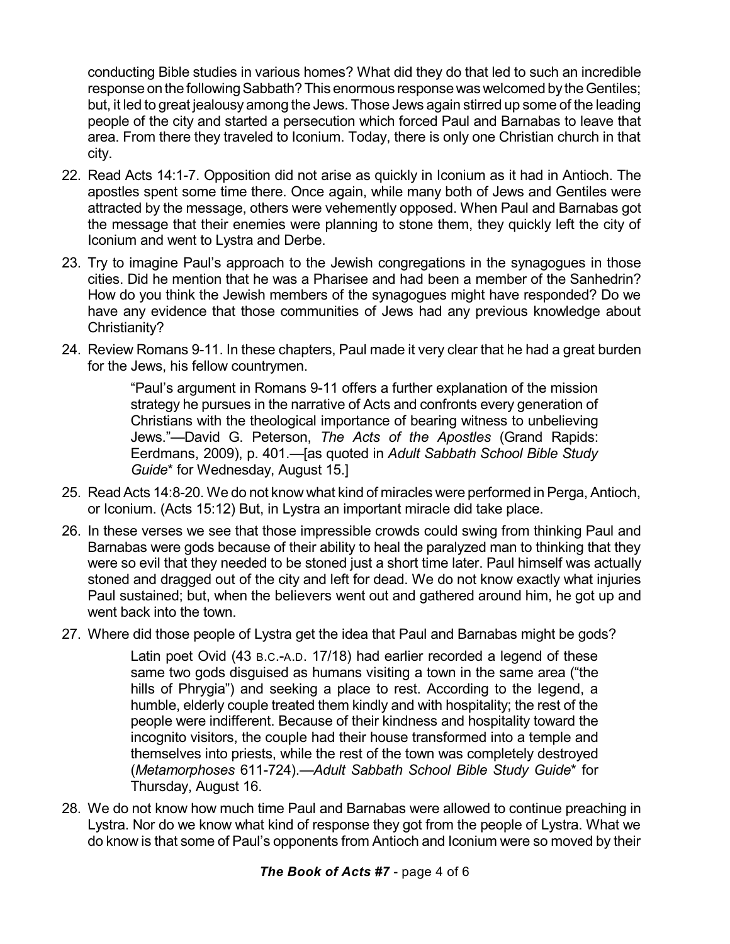conducting Bible studies in various homes? What did they do that led to such an incredible response on the following Sabbath? This enormous response was welcomed by the Gentiles; but, it led to great jealousy among the Jews. Those Jews again stirred up some of the leading people of the city and started a persecution which forced Paul and Barnabas to leave that area. From there they traveled to Iconium. Today, there is only one Christian church in that city.

- 22. Read Acts 14:1-7. Opposition did not arise as quickly in Iconium as it had in Antioch. The apostles spent some time there. Once again, while many both of Jews and Gentiles were attracted by the message, others were vehemently opposed. When Paul and Barnabas got the message that their enemies were planning to stone them, they quickly left the city of Iconium and went to Lystra and Derbe.
- 23. Try to imagine Paul's approach to the Jewish congregations in the synagogues in those cities. Did he mention that he was a Pharisee and had been a member of the Sanhedrin? How do you think the Jewish members of the synagogues might have responded? Do we have any evidence that those communities of Jews had any previous knowledge about Christianity?
- 24. Review Romans 9-11. In these chapters, Paul made it very clear that he had a great burden for the Jews, his fellow countrymen.

"Paul's argument in Romans 9-11 offers a further explanation of the mission strategy he pursues in the narrative of Acts and confronts every generation of Christians with the theological importance of bearing witness to unbelieving Jews."—David G. Peterson, *The Acts of the Apostles* (Grand Rapids: Eerdmans, 2009), p. 401.—[as quoted in *Adult Sabbath School Bible Study Guide*\* for Wednesday, August 15.]

- 25. Read Acts 14:8-20. We do not know what kind of miracles were performed in Perga, Antioch, or Iconium. (Acts 15:12) But, in Lystra an important miracle did take place.
- 26. In these verses we see that those impressible crowds could swing from thinking Paul and Barnabas were gods because of their ability to heal the paralyzed man to thinking that they were so evil that they needed to be stoned just a short time later. Paul himself was actually stoned and dragged out of the city and left for dead. We do not know exactly what injuries Paul sustained; but, when the believers went out and gathered around him, he got up and went back into the town.
- 27. Where did those people of Lystra get the idea that Paul and Barnabas might be gods?

Latin poet Ovid (43 B.C.-A.D. 17/18) had earlier recorded a legend of these same two gods disguised as humans visiting a town in the same area ("the hills of Phrygia") and seeking a place to rest. According to the legend, a humble, elderly couple treated them kindly and with hospitality; the rest of the people were indifferent. Because of their kindness and hospitality toward the incognito visitors, the couple had their house transformed into a temple and themselves into priests, while the rest of the town was completely destroyed (*Metamorphoses* 611-724).—*Adult Sabbath School Bible Study Guide*\* for Thursday, August 16.

28. We do not know how much time Paul and Barnabas were allowed to continue preaching in Lystra. Nor do we know what kind of response they got from the people of Lystra. What we do know is that some of Paul's opponents from Antioch and Iconium were so moved by their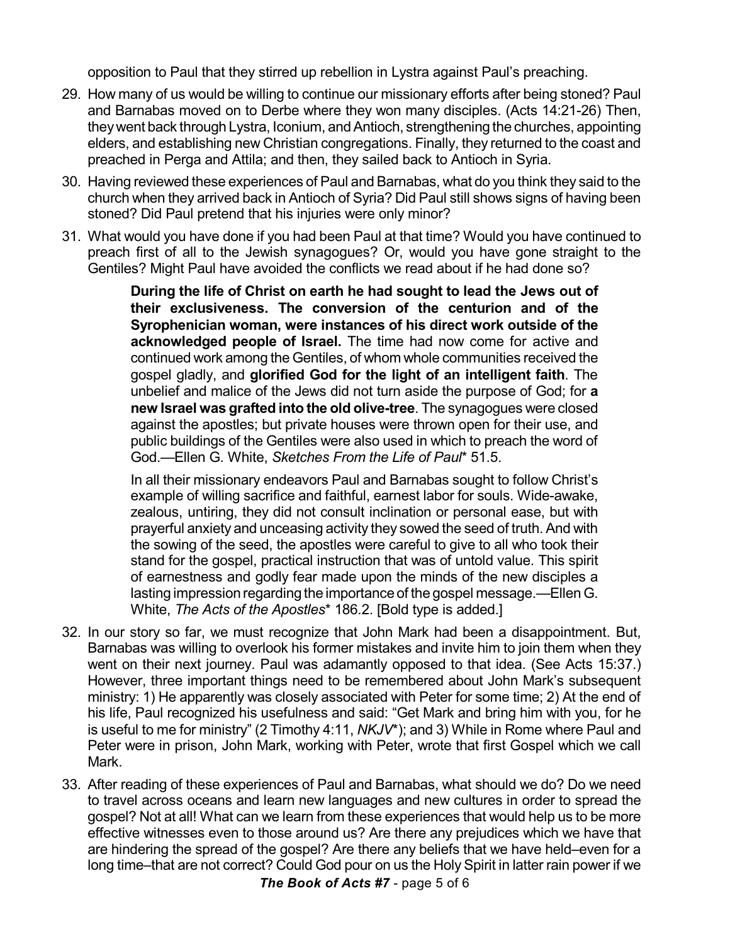opposition to Paul that they stirred up rebellion in Lystra against Paul's preaching.

- 29. How many of us would be willing to continue our missionary efforts after being stoned? Paul and Barnabas moved on to Derbe where they won many disciples. (Acts 14:21-26) Then, they went back through Lystra, Iconium, and Antioch, strengthening the churches, appointing elders, and establishing new Christian congregations. Finally, they returned to the coast and preached in Perga and Attila; and then, they sailed back to Antioch in Syria.
- 30. Having reviewed these experiences of Paul and Barnabas, what do you think they said to the church when they arrived back in Antioch of Syria? Did Paul still shows signs of having been stoned? Did Paul pretend that his injuries were only minor?
- 31. What would you have done if you had been Paul at that time? Would you have continued to preach first of all to the Jewish synagogues? Or, would you have gone straight to the Gentiles? Might Paul have avoided the conflicts we read about if he had done so?

**During the life of Christ on earth he had sought to lead the Jews out of their exclusiveness. The conversion of the centurion and of the Syrophenician woman, were instances of his direct work outside of the acknowledged people of Israel.** The time had now come for active and continued work among the Gentiles, of whom whole communities received the gospel gladly, and **glorified God for the light of an intelligent faith**. The unbelief and malice of the Jews did not turn aside the purpose of God; for **a new Israel was grafted into the old olive-tree**. The synagogues were closed against the apostles; but private houses were thrown open for their use, and public buildings of the Gentiles were also used in which to preach the word of God.—Ellen G. White, *Sketches From the Life of Paul*\* 51.5.

In all their missionary endeavors Paul and Barnabas sought to follow Christ's example of willing sacrifice and faithful, earnest labor for souls. Wide-awake, zealous, untiring, they did not consult inclination or personal ease, but with prayerful anxiety and unceasing activity they sowed the seed of truth. And with the sowing of the seed, the apostles were careful to give to all who took their stand for the gospel, practical instruction that was of untold value. This spirit of earnestness and godly fear made upon the minds of the new disciples a lasting impression regarding the importance of the gospel message.—EllenG. White, *The Acts of the Apostles*\* 186.2. [Bold type is added.]

- 32. In our story so far, we must recognize that John Mark had been a disappointment. But, Barnabas was willing to overlook his former mistakes and invite him to join them when they went on their next journey. Paul was adamantly opposed to that idea. (See Acts 15:37.) However, three important things need to be remembered about John Mark's subsequent ministry: 1) He apparently was closely associated with Peter for some time; 2) At the end of his life, Paul recognized his usefulness and said: "Get Mark and bring him with you, for he is useful to me for ministry" (2 Timothy 4:11, *NKJV*\*); and 3) While in Rome where Paul and Peter were in prison, John Mark, working with Peter, wrote that first Gospel which we call Mark.
- 33. After reading of these experiences of Paul and Barnabas, what should we do? Do we need to travel across oceans and learn new languages and new cultures in order to spread the gospel? Not at all! What can we learn from these experiences that would help us to be more effective witnesses even to those around us? Are there any prejudices which we have that are hindering the spread of the gospel? Are there any beliefs that we have held–even for a long time–that are not correct? Could God pour on us the Holy Spirit in latter rain power if we